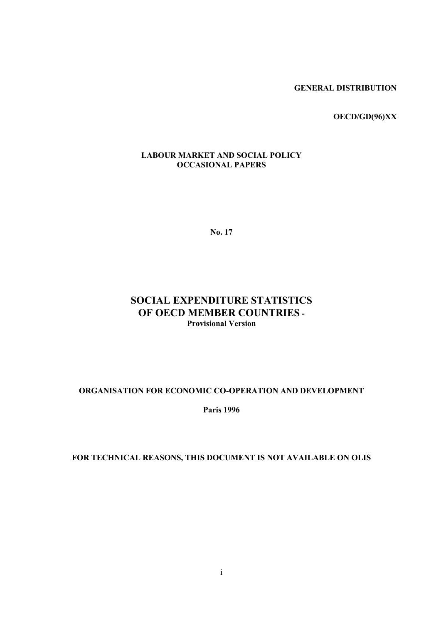**GENERAL DISTRIBUTION**

**OECD/GD(96)XX** 

### **LABOUR MARKET AND SOCIAL POLICY OCCASIONAL PAPERS**

**No. 17**

## **SOCIAL EXPENDITURE STATISTICS OF OECD MEMBER COUNTRIES - Provisional Version**

### **ORGANISATION FOR ECONOMIC CO-OPERATION AND DEVELOPMENT**

**Paris 1996**

## **FOR TECHNICAL REASONS, THIS DOCUMENT IS NOT AVAILABLE ON OLIS**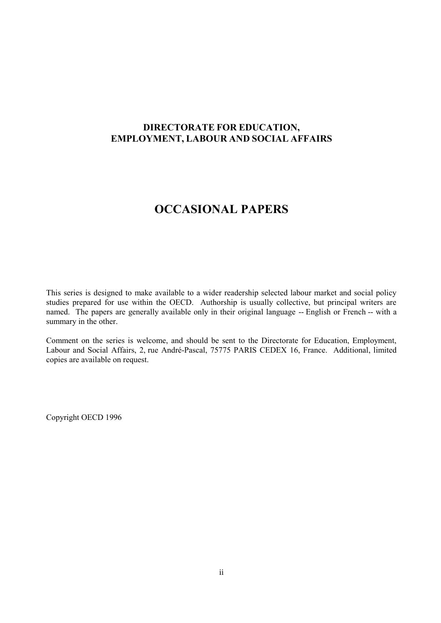## **DIRECTORATE FOR EDUCATION, EMPLOYMENT, LABOUR AND SOCIAL AFFAIRS**

# **OCCASIONAL PAPERS**

This series is designed to make available to a wider readership selected labour market and social policy studies prepared for use within the OECD. Authorship is usually collective, but principal writers are named. The papers are generally available only in their original language -- English or French -- with a summary in the other.

Comment on the series is welcome, and should be sent to the Directorate for Education, Employment, Labour and Social Affairs, 2, rue André-Pascal, 75775 PARIS CEDEX 16, France. Additional, limited copies are available on request.

Copyright OECD 1996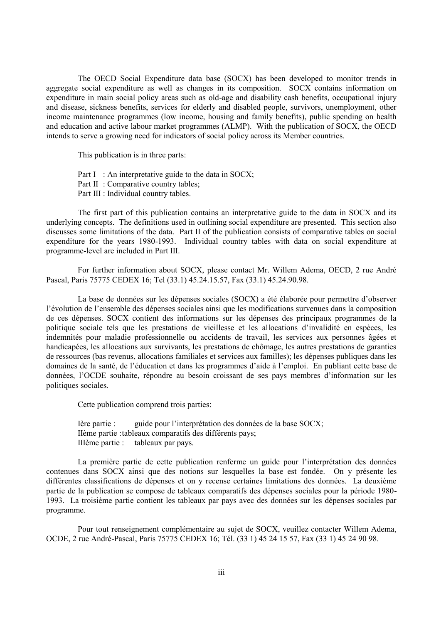The OECD Social Expenditure data base (SOCX) has been developed to monitor trends in aggregate social expenditure as well as changes in its composition. SOCX contains information on expenditure in main social policy areas such as old-age and disability cash benefits, occupational injury and disease, sickness benefits, services for elderly and disabled people, survivors, unemployment, other income maintenance programmes (low income, housing and family benefits), public spending on health and education and active labour market programmes (ALMP). With the publication of SOCX, the OECD intends to serve a growing need for indicators of social policy across its Member countries.

This publication is in three parts:

Part I : An interpretative guide to the data in SOCX; Part II : Comparative country tables; Part III : Individual country tables.

The first part of this publication contains an interpretative guide to the data in SOCX and its underlying concepts. The definitions used in outlining social expenditure are presented. This section also discusses some limitations of the data. Part II of the publication consists of comparative tables on social expenditure for the years 1980-1993. Individual country tables with data on social expenditure at programme-level are included in Part III.

For further information about SOCX, please contact Mr. Willem Adema, OECD, 2 rue André Pascal, Paris 75775 CEDEX 16; Tel (33.1) 45.24.15.57, Fax (33.1) 45.24.90.98.

La base de données sur les dépenses sociales (SOCX) a été élaborée pour permettre d'observer l'évolution de l'ensemble des dépenses sociales ainsi que les modifications survenues dans la composition de ces dépenses. SOCX contient des informations sur les dépenses des principaux programmes de la politique sociale tels que les prestations de vieillesse et les allocations d'invalidité en espèces, les indemnités pour maladie professionnelle ou accidents de travail, les services aux personnes âgées et handicapées, les allocations aux survivants, les prestations de chômage, les autres prestations de garanties de ressources (bas revenus, allocations familiales et services aux familles); les dépenses publiques dans les domaines de la santé, de l'éducation et dans les programmes d'aide à l'emploi. En publiant cette base de données, l'OCDE souhaite, répondre au besoin croissant de ses pays membres d'information sur les politiques sociales.

Cette publication comprend trois parties:

Ière partie : guide pour l'interprétation des données de la base SOCX; IIème partie :tableaux comparatifs des différents pays; IIIème partie : tableaux par pays.

La première partie de cette publication renferme un guide pour l'interprétation des données contenues dans SOCX ainsi que des notions sur lesquelles la base est fondée. On y présente les différentes classifications de dépenses et on y recense certaines limitations des données. La deuxième partie de la publication se compose de tableaux comparatifs des dépenses sociales pour la période 1980- 1993. La troisième partie contient les tableaux par pays avec des données sur les dépenses sociales par programme.

Pour tout renseignement complémentaire au sujet de SOCX, veuillez contacter Willem Adema, OCDE, 2 rue André-Pascal, Paris 75775 CEDEX 16; Tél. (33 1) 45 24 15 57, Fax (33 1) 45 24 90 98.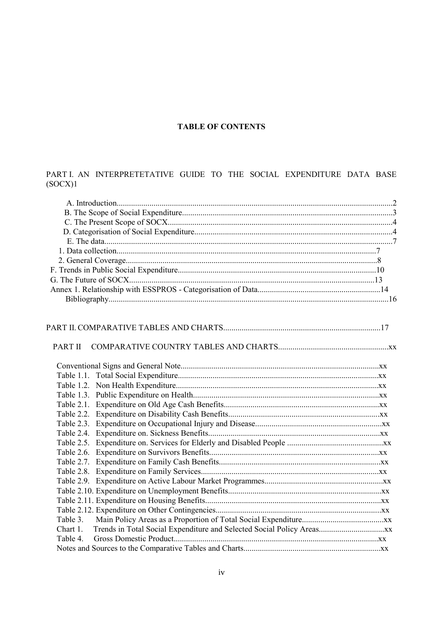## **TABLE OF CONTENTS**

## PART I. AN INTERPRETETATIVE GUIDE TO THE SOCIAL EXPENDITURE DATA BASE  $(SOCX)1$

| PART II  |  |
|----------|--|
|          |  |
|          |  |
|          |  |
|          |  |
|          |  |
|          |  |
|          |  |
|          |  |
|          |  |
|          |  |
|          |  |
|          |  |
|          |  |
|          |  |
|          |  |
|          |  |
|          |  |
| Table 3. |  |
| Chart 1. |  |
| Table 4. |  |
|          |  |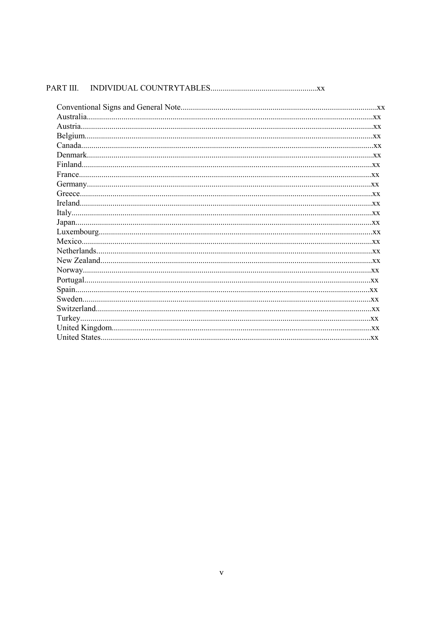| PART III. |
|-----------|
|-----------|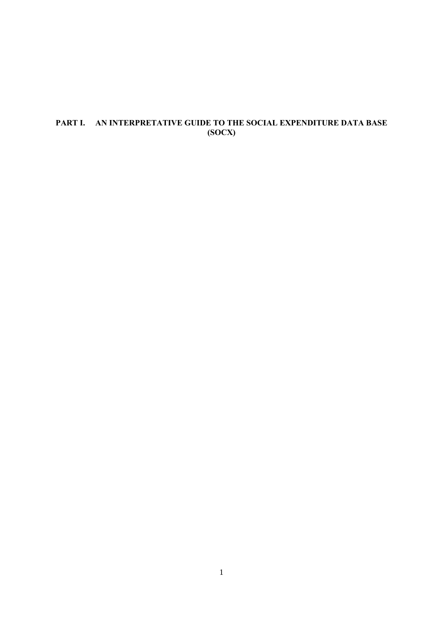## **PART I. AN INTERPRETATIVE GUIDE TO THE SOCIAL EXPENDITURE DATA BASE (SOCX)**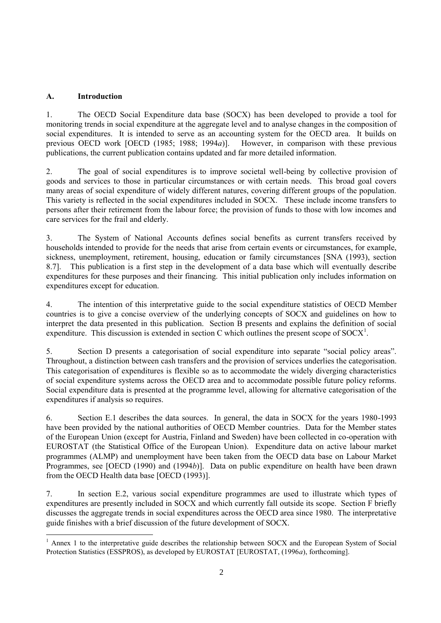### **A. Introduction**

l

1. The OECD Social Expenditure data base (SOCX) has been developed to provide a tool for monitoring trends in social expenditure at the aggregate level and to analyse changes in the composition of social expenditures. It is intended to serve as an accounting system for the OECD area. It builds on previous OECD work [OECD (1985; 1988; 1994*a*)]. However, in comparison with these previous publications, the current publication contains updated and far more detailed information.

2. The goal of social expenditures is to improve societal well-being by collective provision of goods and services to those in particular circumstances or with certain needs. This broad goal covers many areas of social expenditure of widely different natures, covering different groups of the population. This variety is reflected in the social expenditures included in SOCX. These include income transfers to persons after their retirement from the labour force; the provision of funds to those with low incomes and care services for the frail and elderly.

3. The System of National Accounts defines social benefits as current transfers received by households intended to provide for the needs that arise from certain events or circumstances, for example, sickness, unemployment, retirement, housing, education or family circumstances [SNA (1993), section 8.7]. This publication is a first step in the development of a data base which will eventually describe expenditures for these purposes and their financing. This initial publication only includes information on expenditures except for education.

4. The intention of this interpretative guide to the social expenditure statistics of OECD Member countries is to give a concise overview of the underlying concepts of SOCX and guidelines on how to interpret the data presented in this publication. Section B presents and explains the definition of social expenditure. This discussion is extended in section C which outlines the present scope of  $SOCX<sup>1</sup>$ .

5. Section D presents a categorisation of social expenditure into separate "social policy areas". Throughout, a distinction between cash transfers and the provision of services underlies the categorisation. This categorisation of expenditures is flexible so as to accommodate the widely diverging characteristics of social expenditure systems across the OECD area and to accommodate possible future policy reforms. Social expenditure data is presented at the programme level, allowing for alternative categorisation of the expenditures if analysis so requires.

6. Section E.1 describes the data sources. In general, the data in SOCX for the years 1980-1993 have been provided by the national authorities of OECD Member countries. Data for the Member states of the European Union (except for Austria, Finland and Sweden) have been collected in co-operation with EUROSTAT (the Statistical Office of the European Union). Expenditure data on active labour market programmes (ALMP) and unemployment have been taken from the OECD data base on Labour Market Programmes, see [OECD (1990) and (1994*b*)]. Data on public expenditure on health have been drawn from the OECD Health data base [OECD (1993)].

7. In section E.2, various social expenditure programmes are used to illustrate which types of expenditures are presently included in SOCX and which currently fall outside its scope. Section F briefly discusses the aggregate trends in social expenditures across the OECD area since 1980. The interpretative guide finishes with a brief discussion of the future development of SOCX.

<sup>&</sup>lt;sup>1</sup> Annex 1 to the interpretative guide describes the relationship between SOCX and the European System of Social Protection Statistics (ESSPROS), as developed by EUROSTAT [EUROSTAT, (1996*a*), forthcoming].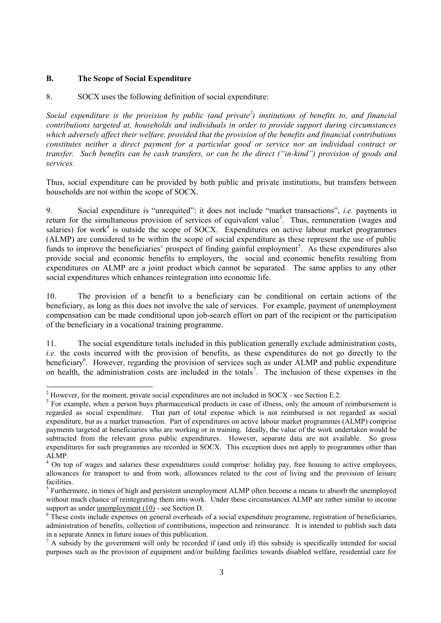### **B. The Scope of Social Expenditure**

 $\overline{a}$ 

### 8. SOCX uses the following definition of social expenditure:

*Social expenditure is the provision by public (and private<sup>2</sup> ) institutions of benefits to, and financial contributions targeted at, households and individuals in order to provide support during circumstances which adversely affect their welfare, provided that the provision of the benefits and financial contributions constitutes neither a direct payment for a particular good or service nor an individual contract or transfer. Such benefits can be cash transfers, or can be the direct ("in-kind") provision of goods and services.*

Thus, social expenditure can be provided by both public and private institutions, but transfers between households are not within the scope of SOCX.

9. Social expenditure is "unrequited": it does not include "market transactions", *i.e.* payments in return for the simultaneous provision of services of equivalent value<sup>3</sup>. Thus, remuneration (wages and salaries) for work<sup>4</sup> is outside the scope of SOCX. Expenditures on active labour market programmes (ALMP) are considered to be within the scope of social expenditure as these represent the use of public funds to improve the beneficiaries' prospect of finding gainful employment<sup>5</sup>. As these expenditures also provide social and economic benefits to employers, the social and economic benefits resulting from expenditures on ALMP are a joint product which cannot be separated. The same applies to any other social expenditures which enhances reintegration into economic life.

10. The provision of a benefit to a beneficiary can be conditional on certain actions of the beneficiary, as long as this does not involve the sale of services. For example, payment of unemployment compensation can be made conditional upon job-search effort on part of the recipient or the participation of the beneficiary in a vocational training programme.

11. The social expenditure totals included in this publication generally exclude administration costs, *i.e.* the costs incurred with the provision of benefits, as these expenditures do not go directly to the beneficiary<sup>6</sup>. However, regarding the provision of services such as under ALMP and public expenditure on health, the administration costs are included in the totals<sup>7</sup>. The inclusion of these expenses in the

 $2^2$  However, for the moment, private social expenditures are not included in SOCX - see Section E.2.

 $3$  For example, when a person buys pharmaceutical products in case of illness, only the amount of reimbursement is regarded as social expenditure. That part of total expense which is not reimbursed is not regarded as social expenditure, but as a market transaction. Part of expenditures on active labour market programmes (ALMP) comprise payments targeted at beneficiaries who are working or in training. Ideally, the value of the work undertaken would be subtracted from the relevant gross public expenditures. However, separate data are not available. So gross expenditures for such programmes are recorded in SOCX. This exception does not apply to programmes other than ALMP.

<sup>&</sup>lt;sup>4</sup> On top of wages and salaries these expenditures could comprise: holiday pay, free housing to active employees, allowances for transport to and from work, allowances related to the cost of living and the provision of leisure facilities.

<sup>&</sup>lt;sup>5</sup> Furthermore, in times of high and persistent unemployment ALMP often become a means to absorb the unemployed without much chance of reintegrating them into work. Under these circumstances ALMP are rather similar to income support as under unemployment (10) - see Section D.

<sup>&</sup>lt;sup>6</sup> These costs include expenses on general overheads of a social expenditure programme, registration of beneficiaries, administration of benefits, collection of contributions, inspection and reinsurance. It is intended to publish such data in a separate Annex in future issues of this publication.

 $<sup>7</sup>$  A subsidy by the government will only be recorded if (and only if) this subsidy is specifically intended for social</sup> purposes such as the provision of equipment and/or building facilities towards disabled welfare, residential care for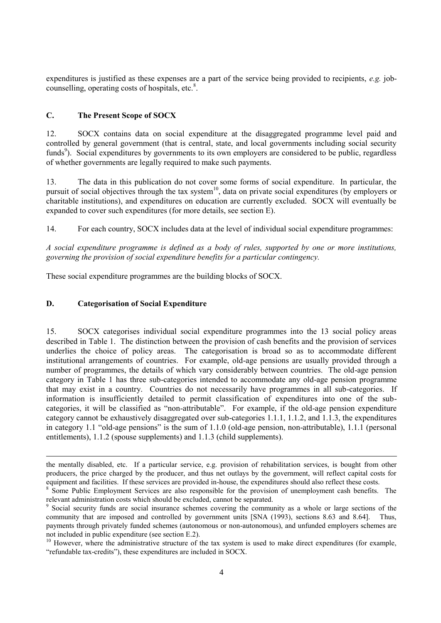expenditures is justified as these expenses are a part of the service being provided to recipients, *e.g.* jobcounselling, operating costs of hospitals, etc.<sup>8</sup>.

### **C. The Present Scope of SOCX**

12. SOCX contains data on social expenditure at the disaggregated programme level paid and controlled by general government (that is central, state, and local governments including social security funds<sup>9</sup>). Social expenditures by governments to its own employers are considered to be public, regardless of whether governments are legally required to make such payments.

13. The data in this publication do not cover some forms of social expenditure. In particular, the pursuit of social objectives through the tax system<sup>10</sup>, data on private social expenditures (by employers or charitable institutions), and expenditures on education are currently excluded. SOCX will eventually be expanded to cover such expenditures (for more details, see section E).

14. For each country, SOCX includes data at the level of individual social expenditure programmes:

*A social expenditure programme is defined as a body of rules, supported by one or more institutions, governing the provision of social expenditure benefits for a particular contingency.*

These social expenditure programmes are the building blocks of SOCX.

### **D. Categorisation of Social Expenditure**

 $\overline{a}$ 

15. SOCX categorises individual social expenditure programmes into the 13 social policy areas described in Table 1. The distinction between the provision of cash benefits and the provision of services underlies the choice of policy areas. The categorisation is broad so as to accommodate different institutional arrangements of countries. For example, old-age pensions are usually provided through a number of programmes, the details of which vary considerably between countries. The old-age pension category in Table 1 has three sub-categories intended to accommodate any old-age pension programme that may exist in a country. Countries do not necessarily have programmes in all sub-categories. If information is insufficiently detailed to permit classification of expenditures into one of the subcategories, it will be classified as "non-attributable". For example, if the old-age pension expenditure category cannot be exhaustively disaggregated over sub-categories 1.1.1, 1.1.2, and 1.1.3, the expenditures in category 1.1 "old-age pensions" is the sum of 1.1.0 (old-age pension, non-attributable), 1.1.1 (personal entitlements), 1.1.2 (spouse supplements) and 1.1.3 (child supplements).

the mentally disabled, etc. If a particular service, e.g. provision of rehabilitation services, is bought from other producers, the price charged by the producer, and thus net outlays by the government, will reflect capital costs for equipment and facilities. If these services are provided in-house, the expenditures should also reflect these costs.

<sup>&</sup>lt;sup>8</sup> Some Public Employment Services are also responsible for the provision of unemployment cash benefits. The relevant administration costs which should be excluded, cannot be separated.

<sup>9</sup> Social security funds are social insurance schemes covering the community as a whole or large sections of the community that are imposed and controlled by government units [SNA (1993), sections 8.63 and 8.64]. Thus, payments through privately funded schemes (autonomous or non-autonomous), and unfunded employers schemes are not included in public expenditure (see section E.2).

<sup>&</sup>lt;sup>10</sup> However, where the administrative structure of the tax system is used to make direct expenditures (for example, "refundable tax-credits"), these expenditures are included in SOCX.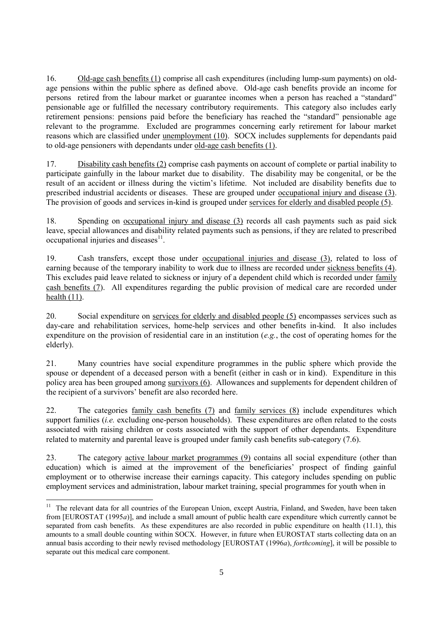16. Old-age cash benefits (1) comprise all cash expenditures (including lump-sum payments) on oldage pensions within the public sphere as defined above. Old-age cash benefits provide an income for persons retired from the labour market or guarantee incomes when a person has reached a "standard" pensionable age or fulfilled the necessary contributory requirements. This category also includes early retirement pensions: pensions paid before the beneficiary has reached the "standard" pensionable age relevant to the programme. Excluded are programmes concerning early retirement for labour market reasons which are classified under unemployment (10). SOCX includes supplements for dependants paid to old-age pensioners with dependants under old-age cash benefits (1).

17. Disability cash benefits (2) comprise cash payments on account of complete or partial inability to participate gainfully in the labour market due to disability. The disability may be congenital, or be the result of an accident or illness during the victim's lifetime. Not included are disability benefits due to prescribed industrial accidents or diseases. These are grouped under occupational injury and disease (3). The provision of goods and services in-kind is grouped under services for elderly and disabled people (5).

18. Spending on occupational injury and disease (3) records all cash payments such as paid sick leave, special allowances and disability related payments such as pensions, if they are related to prescribed occupational injuries and diseases $11$ .

19. Cash transfers, except those under occupational injuries and disease (3), related to loss of earning because of the temporary inability to work due to illness are recorded under sickness benefits (4). This excludes paid leave related to sickness or injury of a dependent child which is recorded under family cash benefits (7). All expenditures regarding the public provision of medical care are recorded under health  $(11)$ .

20. Social expenditure on services for elderly and disabled people (5) encompasses services such as day-care and rehabilitation services, home-help services and other benefits in-kind. It also includes expenditure on the provision of residential care in an institution (*e.g.*, the cost of operating homes for the elderly).

21. Many countries have social expenditure programmes in the public sphere which provide the spouse or dependent of a deceased person with a benefit (either in cash or in kind). Expenditure in this policy area has been grouped among survivors (6). Allowances and supplements for dependent children of the recipient of a survivors' benefit are also recorded here.

22. The categories family cash benefits (7) and family services (8) include expenditures which support families (*i.e.* excluding one-person households). These expenditures are often related to the costs associated with raising children or costs associated with the support of other dependants. Expenditure related to maternity and parental leave is grouped under family cash benefits sub-category (7.6).

23. The category active labour market programmes (9) contains all social expenditure (other than education) which is aimed at the improvement of the beneficiaries' prospect of finding gainful employment or to otherwise increase their earnings capacity. This category includes spending on public employment services and administration, labour market training, special programmes for youth when in

 $\overline{a}$ 

<sup>&</sup>lt;sup>11</sup> The relevant data for all countries of the European Union, except Austria, Finland, and Sweden, have been taken from [EUROSTAT (1995*a*)], and include a small amount of public health care expenditure which currently cannot be separated from cash benefits. As these expenditures are also recorded in public expenditure on health (11.1), this amounts to a small double counting within SOCX. However, in future when EUROSTAT starts collecting data on an annual basis according to their newly revised methodology [EUROSTAT (1996*a*), *forthcoming*], it will be possible to separate out this medical care component.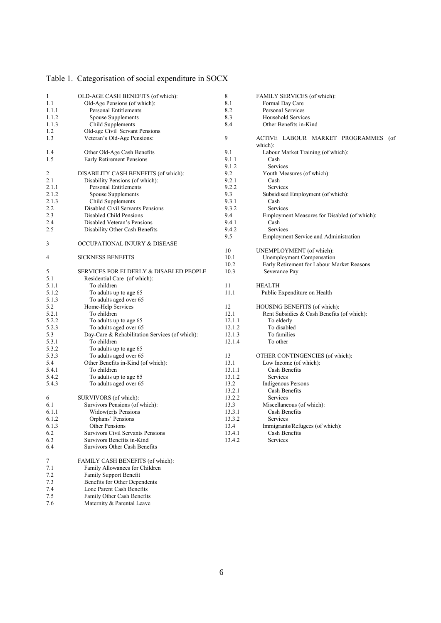| Table 1. Categorisation of social expenditure in SOCX |  |  |
|-------------------------------------------------------|--|--|
|                                                       |  |  |

7.4 Lone Parent Cash Benefits 7.5 Family Other Cash Benefits 7.6 Maternity & Parental Leave

| 1     | OLD-AGE CASH BENEFITS (of which):              | 8      | FAMILY SERVICES (of which):                    |
|-------|------------------------------------------------|--------|------------------------------------------------|
| 1.1   | Old-Age Pensions (of which):                   | 8.1    | Formal Day Care                                |
| 1.1.1 | Personal Entitlements                          | 8.2    | Personal Services                              |
| 1.1.2 | Spouse Supplements                             | 8.3    | Household Services                             |
| 1.1.3 | Child Supplements                              | 8.4    | Other Benefits in-Kind                         |
| 1.2   | Old-age Civil Servant Pensions                 |        |                                                |
| 1.3   | Veteran's Old-Age Pensions:                    | 9      | ACTIVE LABOUR MARKET PROGRAMMES (of<br>which): |
| 1.4   | Other Old-Age Cash Benefits                    | 9.1    | Labour Market Training (of which):             |
| 1.5   | Early Retirement Pensions                      | 9.1.1  | Cash                                           |
|       |                                                | 9.1.2  | Services                                       |
| 2     | DISABILITY CASH BENEFITS (of which):           | 9.2    | Youth Measures (of which):                     |
| 2.1   | Disability Pensions (of which):                | 9.2.1  | Cash                                           |
| 2.1.1 | Personal Entitlements                          | 9.2.2  | Services                                       |
| 2.1.2 | <b>Spouse Supplements</b>                      | 9.3    | Subsidised Employment (of which):              |
| 2.1.3 | Child Supplements                              | 9.3.1  | Cash                                           |
| 2.2   | Disabled Civil Servants Pensions               | 9.3.2  | Services                                       |
| 2.3   | Disabled Child Pensions                        |        |                                                |
|       |                                                | 9.4    | Employment Measures for Disabled (of which):   |
| 2.4   | Disabled Veteran's Pensions                    | 9.4.1  | Cash                                           |
| 2.5   | Disability Other Cash Benefits                 | 9.4.2  | Services                                       |
|       |                                                | 9.5    | <b>Employment Service and Administration</b>   |
| 3     | OCCUPATIONAL INJURY & DISEASE                  |        |                                                |
|       |                                                | 10     | UNEMPLOYMENT (of which):                       |
| 4     | <b>SICKNESS BENEFITS</b>                       | 10.1   | Unemployment Compensation                      |
|       |                                                | 10.2   | Early Retirement for Labour Market Reasons     |
| 5     | SERVICES FOR ELDERLY & DISABLED PEOPLE         | 10.3   | Severance Pay                                  |
| 5.1   | Residential Care (of which):                   |        |                                                |
| 5.1.1 | To children                                    | 11     | <b>HEALTH</b>                                  |
| 5.1.2 | To adults up to age 65                         | 11.1   | Public Expenditure on Health                   |
| 5.1.3 | To adults aged over 65                         |        |                                                |
| 5.2   | Home-Help Services                             | 12     | HOUSING BENEFITS (of which):                   |
| 5.2.1 | To children                                    | 12.1   | Rent Subsidies & Cash Benefits (of which):     |
| 5.2.2 | To adults up to age 65                         | 12.1.1 | To elderly                                     |
| 5.2.3 | To adults aged over 65                         | 12.1.2 | To disabled                                    |
| 5.3   | Day-Care & Rehabilitation Services (of which): | 12.1.3 | To families                                    |
| 5.3.1 | To children                                    | 12.1.4 | To other                                       |
| 5.3.2 | To adults up to age 65                         |        |                                                |
| 5.3.3 | To adults aged over 65                         | 13     | OTHER CONTINGENCIES (of which):                |
| 5.4   | Other Benefits in-Kind (of which):             | 13.1   | Low Income (of which):                         |
| 5.4.1 | To children                                    | 13.1.1 | Cash Benefits                                  |
| 5.4.2 | To adults up to age 65                         | 13.1.2 | Services                                       |
| 5.4.3 | To adults aged over 65                         | 13.2   | <b>Indigenous Persons</b>                      |
|       |                                                | 13.2.1 | Cash Benefits                                  |
| 6     | SURVIVORS (of which):                          | 13.2.2 | Services                                       |
| 6.1   | Survivors Pensions (of which):                 | 13.3   | Miscellaneous (of which):                      |
| 6.1.1 | Widow(er)s Pensions                            | 13.3.1 | Cash Benefits                                  |
| 6.1.2 | Orphans' Pensions                              | 13.3.2 | Services                                       |
| 6.1.3 | Other Pensions                                 | 13.4   | Immigrants/Refugees (of which):                |
| 6.2   | <b>Survivors Civil Servants Pensions</b>       | 13.4.1 | Cash Benefits                                  |
| 6.3   | Survivors Benefits in-Kind                     | 13.4.2 | Services                                       |
| 6.4   | Survivors Other Cash Benefits                  |        |                                                |
| 7     | FAMILY CASH BENEFITS (of which):               |        |                                                |
| 7.1   | Family Allowances for Children                 |        |                                                |
| 7.2   | Family Support Benefit                         |        |                                                |
| 7.3   | Benefits for Other Dependents                  |        |                                                |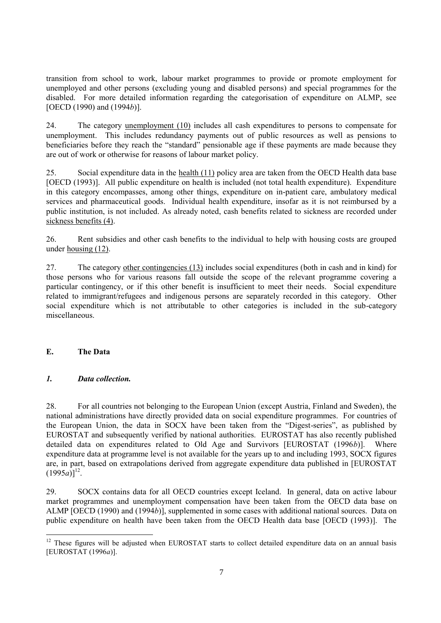transition from school to work, labour market programmes to provide or promote employment for unemployed and other persons (excluding young and disabled persons) and special programmes for the disabled. For more detailed information regarding the categorisation of expenditure on ALMP, see [OECD (1990) and (1994*b*)].

24. The category unemployment (10) includes all cash expenditures to persons to compensate for unemployment. This includes redundancy payments out of public resources as well as pensions to beneficiaries before they reach the "standard" pensionable age if these payments are made because they are out of work or otherwise for reasons of labour market policy.

25. Social expenditure data in the health (11) policy area are taken from the OECD Health data base [OECD (1993)]. All public expenditure on health is included (not total health expenditure). Expenditure in this category encompasses, among other things, expenditure on in-patient care, ambulatory medical services and pharmaceutical goods. Individual health expenditure, insofar as it is not reimbursed by a public institution, is not included. As already noted, cash benefits related to sickness are recorded under sickness benefits (4).

26. Rent subsidies and other cash benefits to the individual to help with housing costs are grouped under <u>housing (12)</u>.

27. The category other contingencies (13) includes social expenditures (both in cash and in kind) for those persons who for various reasons fall outside the scope of the relevant programme covering a particular contingency, or if this other benefit is insufficient to meet their needs. Social expenditure related to immigrant/refugees and indigenous persons are separately recorded in this category. Other social expenditure which is not attributable to other categories is included in the sub-category miscellaneous.

### **E. The Data**

l

### *1. Data collection.*

28. For all countries not belonging to the European Union (except Austria, Finland and Sweden), the national administrations have directly provided data on social expenditure programmes. For countries of the European Union, the data in SOCX have been taken from the "Digest-series", as published by EUROSTAT and subsequently verified by national authorities. EUROSTAT has also recently published detailed data on expenditures related to Old Age and Survivors [EUROSTAT (1996*b*)]. Where expenditure data at programme level is not available for the years up to and including 1993, SOCX figures are, in part, based on extrapolations derived from aggregate expenditure data published in [EUROSTAT  $(1995a)$ <sup>12</sup>.

29. SOCX contains data for all OECD countries except Iceland. In general, data on active labour market programmes and unemployment compensation have been taken from the OECD data base on ALMP [OECD (1990) and (1994*b*)], supplemented in some cases with additional national sources. Data on public expenditure on health have been taken from the OECD Health data base [OECD (1993)]. The

<sup>&</sup>lt;sup>12</sup> These figures will be adjusted when EUROSTAT starts to collect detailed expenditure data on an annual basis [EUROSTAT (1996*a*)].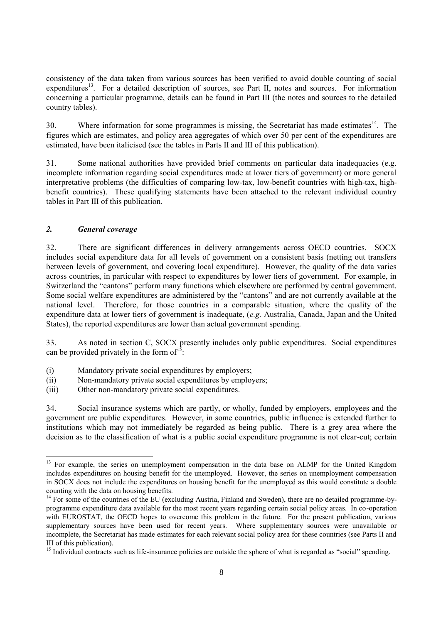consistency of the data taken from various sources has been verified to avoid double counting of social expenditures<sup>13</sup>. For a detailed description of sources, see Part II, notes and sources. For information concerning a particular programme, details can be found in Part III (the notes and sources to the detailed country tables).

30. Where information for some programmes is missing, the Secretariat has made estimates $14$ . The figures which are estimates, and policy area aggregates of which over 50 per cent of the expenditures are estimated, have been italicised (see the tables in Parts II and III of this publication).

31. Some national authorities have provided brief comments on particular data inadequacies (e.g. incomplete information regarding social expenditures made at lower tiers of government) or more general interpretative problems (the difficulties of comparing low-tax, low-benefit countries with high-tax, highbenefit countries). These qualifying statements have been attached to the relevant individual country tables in Part III of this publication.

### *2. General coverage*

 $\overline{a}$ 

32. There are significant differences in delivery arrangements across OECD countries. SOCX includes social expenditure data for all levels of government on a consistent basis (netting out transfers between levels of government, and covering local expenditure). However, the quality of the data varies across countries, in particular with respect to expenditures by lower tiers of government. For example, in Switzerland the "cantons" perform many functions which elsewhere are performed by central government. Some social welfare expenditures are administered by the "cantons" and are not currently available at the national level. Therefore, for those countries in a comparable situation, where the quality of the expenditure data at lower tiers of government is inadequate, (*e.g.* Australia, Canada, Japan and the United States), the reported expenditures are lower than actual government spending.

33. As noted in section C, SOCX presently includes only public expenditures. Social expenditures can be provided privately in the form of  $15$ :

- (i) Mandatory private social expenditures by employers;
- (ii) Non-mandatory private social expenditures by employers;
- (iii) Other non-mandatory private social expenditures.

34. Social insurance systems which are partly, or wholly, funded by employers, employees and the government are public expenditures. However, in some countries, public influence is extended further to institutions which may not immediately be regarded as being public. There is a grey area where the decision as to the classification of what is a public social expenditure programme is not clear-cut; certain

<sup>&</sup>lt;sup>13</sup> For example, the series on unemployment compensation in the data base on ALMP for the United Kingdom includes expenditures on housing benefit for the unemployed. However, the series on unemployment compensation in SOCX does not include the expenditures on housing benefit for the unemployed as this would constitute a double counting with the data on housing benefits.

 $14$  For some of the countries of the EU (excluding Austria, Finland and Sweden), there are no detailed programme-byprogramme expenditure data available for the most recent years regarding certain social policy areas. In co-operation with EUROSTAT, the OECD hopes to overcome this problem in the future. For the present publication, various supplementary sources have been used for recent years. Where supplementary sources were unavailable or incomplete, the Secretariat has made estimates for each relevant social policy area for these countries (see Parts II and III of this publication).

<sup>&</sup>lt;sup>15</sup> Individual contracts such as life-insurance policies are outside the sphere of what is regarded as "social" spending.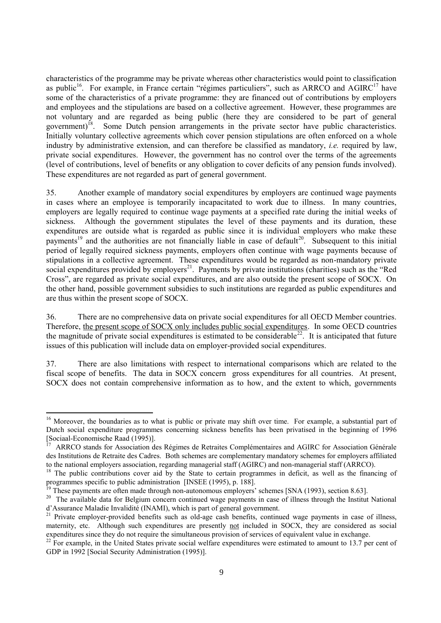characteristics of the programme may be private whereas other characteristics would point to classification as public<sup>16</sup>. For example, in France certain "régimes particuliers", such as  $ARRCO$  and  $AGIRC<sup>17</sup>$  have some of the characteristics of a private programme: they are financed out of contributions by employers and employees and the stipulations are based on a collective agreement. However, these programmes are not voluntary and are regarded as being public (here they are considered to be part of general government)<sup>18</sup>. Some Dutch pension arrangements in the private sector have public characteristics. Initially voluntary collective agreements which cover pension stipulations are often enforced on a whole industry by administrative extension, and can therefore be classified as mandatory, *i.e.* required by law, private social expenditures. However, the government has no control over the terms of the agreements (level of contributions, level of benefits or any obligation to cover deficits of any pension funds involved). These expenditures are not regarded as part of general government.

35. Another example of mandatory social expenditures by employers are continued wage payments in cases where an employee is temporarily incapacitated to work due to illness. In many countries, employers are legally required to continue wage payments at a specified rate during the initial weeks of sickness. Although the government stipulates the level of these payments and its duration, these expenditures are outside what is regarded as public since it is individual employers who make these payments<sup>19</sup> and the authorities are not financially liable in case of default<sup>20</sup>. Subsequent to this initial period of legally required sickness payments, employers often continue with wage payments because of stipulations in a collective agreement. These expenditures would be regarded as non-mandatory private social expenditures provided by employers<sup>21</sup>. Payments by private institutions (charities) such as the "Red Cross", are regarded as private social expenditures, and are also outside the present scope of SOCX. On the other hand, possible government subsidies to such institutions are regarded as public expenditures and are thus within the present scope of SOCX.

36. There are no comprehensive data on private social expenditures for all OECD Member countries. Therefore, the present scope of SOCX only includes public social expenditures. In some OECD countries the magnitude of private social expenditures is estimated to be considerable<sup>22</sup>. It is anticipated that future issues of this publication will include data on employer-provided social expenditures.

37. There are also limitations with respect to international comparisons which are related to the fiscal scope of benefits. The data in SOCX concern gross expenditures for all countries. At present, SOCX does not contain comprehensive information as to how, and the extent to which, governments

 $\overline{a}$ 

<sup>&</sup>lt;sup>16</sup> Moreover, the boundaries as to what is public or private may shift over time. For example, a substantial part of Dutch social expenditure programmes concerning sickness benefits has been privatised in the beginning of 1996 [Sociaal-Economische Raad (1995)].

<sup>17</sup> ARRCO stands for Association des Régimes de Retraites Complémentaires and AGIRC for Association Générale des Institutions de Retraite des Cadres. Both schemes are complementary mandatory schemes for employers affiliated to the national employers association, regarding managerial staff (AGIRC) and non-managerial staff (ARRCO).

<sup>&</sup>lt;sup>18</sup> The public contributions cover aid by the State to certain programmes in deficit, as well as the financing of programmes specific to public administration [INSEE (1995), p. 188].

 $19$  These payments are often made through non-autonomous employers' schemes [SNA (1993), section 8.63].

<sup>&</sup>lt;sup>20</sup> The available data for Belgium concern continued wage payments in case of illness through the Institut National d'Assurance Maladie Invalidité (INAMI), which is part of general government.

<sup>&</sup>lt;sup>21</sup> Private employer-provided benefits such as old-age cash benefits, continued wage payments in case of illness, maternity, etc. Although such expenditures are presently not included in SOCX, they are considered as social expenditures since they do not require the simultaneous provision of services of equivalent value in exchange.

 $22$  For example, in the United States private social welfare expenditures were estimated to amount to 13.7 per cent of GDP in 1992 [Social Security Administration (1995)].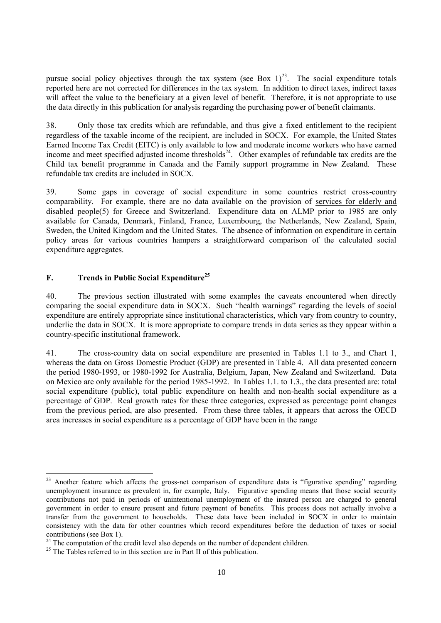pursue social policy objectives through the tax system (see Box  $1)^{23}$ . The social expenditure totals reported here are not corrected for differences in the tax system. In addition to direct taxes, indirect taxes will affect the value to the beneficiary at a given level of benefit. Therefore, it is not appropriate to use the data directly in this publication for analysis regarding the purchasing power of benefit claimants.

38. Only those tax credits which are refundable, and thus give a fixed entitlement to the recipient regardless of the taxable income of the recipient, are included in SOCX. For example, the United States Earned Income Tax Credit (EITC) is only available to low and moderate income workers who have earned income and meet specified adjusted income thresholds<sup>24</sup>. Other examples of refundable tax credits are the Child tax benefit programme in Canada and the Family support programme in New Zealand. These refundable tax credits are included in SOCX.

39. Some gaps in coverage of social expenditure in some countries restrict cross-country comparability. For example, there are no data available on the provision of services for elderly and disabled people(5) for Greece and Switzerland. Expenditure data on ALMP prior to 1985 are only available for Canada, Denmark, Finland, France, Luxembourg, the Netherlands, New Zealand, Spain, Sweden, the United Kingdom and the United States. The absence of information on expenditure in certain policy areas for various countries hampers a straightforward comparison of the calculated social expenditure aggregates.

### **F. Trends in Public Social Expenditure<sup>25</sup>**

 $\overline{a}$ 

40. The previous section illustrated with some examples the caveats encountered when directly comparing the social expenditure data in SOCX. Such "health warnings" regarding the levels of social expenditure are entirely appropriate since institutional characteristics, which vary from country to country, underlie the data in SOCX. It is more appropriate to compare trends in data series as they appear within a country-specific institutional framework.

41. The cross-country data on social expenditure are presented in Tables 1.1 to 3., and Chart 1, whereas the data on Gross Domestic Product (GDP) are presented in Table 4. All data presented concern the period 1980-1993, or 1980-1992 for Australia, Belgium, Japan, New Zealand and Switzerland. Data on Mexico are only available for the period 1985-1992. In Tables 1.1. to 1.3., the data presented are: total social expenditure (public), total public expenditure on health and non-health social expenditure as a percentage of GDP. Real growth rates for these three categories, expressed as percentage point changes from the previous period, are also presented. From these three tables, it appears that across the OECD area increases in social expenditure as a percentage of GDP have been in the range

 $23$  Another feature which affects the gross-net comparison of expenditure data is "figurative spending" regarding unemployment insurance as prevalent in, for example, Italy. Figurative spending means that those social security contributions not paid in periods of unintentional unemployment of the insured person are charged to general government in order to ensure present and future payment of benefits. This process does not actually involve a transfer from the government to households. These data have been included in SOCX in order to maintain consistency with the data for other countries which record expenditures before the deduction of taxes or social contributions (see Box 1).

 $24$  The computation of the credit level also depends on the number of dependent children.

 $25$  The Tables referred to in this section are in Part II of this publication.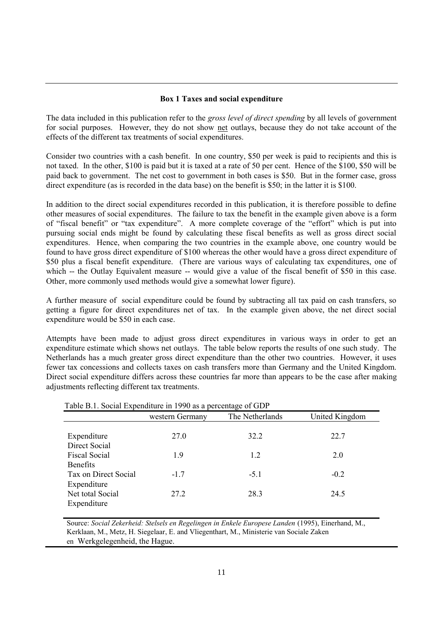### **Box 1 Taxes and social expenditure**

The data included in this publication refer to the *gross level of direct spending* by all levels of government for social purposes. However, they do not show net outlays, because they do not take account of the effects of the different tax treatments of social expenditures.

Consider two countries with a cash benefit. In one country, \$50 per week is paid to recipients and this is not taxed. In the other, \$100 is paid but it is taxed at a rate of 50 per cent. Hence of the \$100, \$50 will be paid back to government. The net cost to government in both cases is \$50. But in the former case, gross direct expenditure (as is recorded in the data base) on the benefit is \$50; in the latter it is \$100.

In addition to the direct social expenditures recorded in this publication, it is therefore possible to define other measures of social expenditures. The failure to tax the benefit in the example given above is a form of "fiscal benefit" or "tax expenditure". A more complete coverage of the "effort" which is put into pursuing social ends might be found by calculating these fiscal benefits as well as gross direct social expenditures. Hence, when comparing the two countries in the example above, one country would be found to have gross direct expenditure of \$100 whereas the other would have a gross direct expenditure of \$50 plus a fiscal benefit expenditure. (There are various ways of calculating tax expenditures, one of which -- the Outlay Equivalent measure -- would give a value of the fiscal benefit of \$50 in this case. Other, more commonly used methods would give a somewhat lower figure).

A further measure of social expenditure could be found by subtracting all tax paid on cash transfers, so getting a figure for direct expenditures net of tax. In the example given above, the net direct social expenditure would be \$50 in each case.

Attempts have been made to adjust gross direct expenditures in various ways in order to get an expenditure estimate which shows net outlays. The table below reports the results of one such study. The Netherlands has a much greater gross direct expenditure than the other two countries. However, it uses fewer tax concessions and collects taxes on cash transfers more than Germany and the United Kingdom. Direct social expenditure differs across these countries far more than appears to be the case after making adjustments reflecting different tax treatments.

| Table D.T. Social Experiencie in 1770 as a percentage of GDT |                 |                 |                |
|--------------------------------------------------------------|-----------------|-----------------|----------------|
|                                                              | western Germany | The Netherlands | United Kingdom |
|                                                              |                 |                 |                |
| Expenditure                                                  | 27.0            | 32.2            | 22.7           |
| Direct Social                                                |                 |                 |                |
| <b>Fiscal Social</b>                                         | 1.9             | 1.2             | 2.0            |
| <b>Benefits</b>                                              |                 |                 |                |
| Tax on Direct Social                                         | $-1.7$          | $-5.1$          | $-0.2$         |
| Expenditure                                                  |                 |                 |                |
| Net total Social                                             | 27.2            | 28.3            | 24.5           |
| Expenditure                                                  |                 |                 |                |

Table B.1. Social Expenditure in 1990 as a percentage of GDP

 Source: *Social Zekerheid: Stelsels en Regelingen in Enkele Europese Landen* (1995), Einerhand, M., Kerklaan, M., Metz, H. Siegelaar, E. and Vliegenthart, M., Ministerie van Sociale Zaken en Werkgelegenheid, the Hague.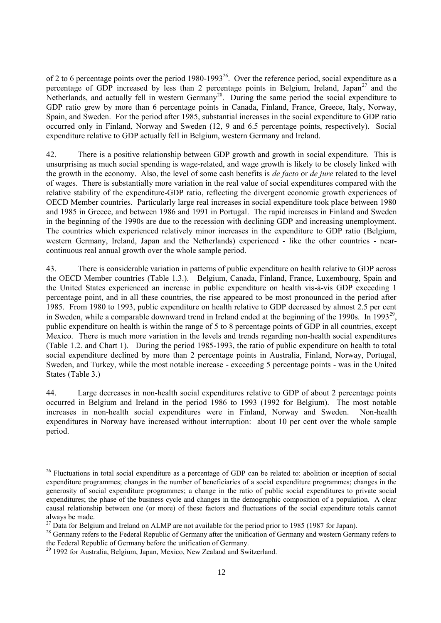of 2 to 6 percentage points over the period 1980-1993<sup>26</sup>. Over the reference period, social expenditure as a percentage of GDP increased by less than 2 percentage points in Belgium, Ireland, Japan<sup>27</sup> and the Netherlands, and actually fell in western Germany<sup>28</sup>. During the same period the social expenditure to GDP ratio grew by more than 6 percentage points in Canada, Finland, France, Greece, Italy, Norway, Spain, and Sweden. For the period after 1985, substantial increases in the social expenditure to GDP ratio occurred only in Finland, Norway and Sweden (12, 9 and 6.5 percentage points, respectively). Social expenditure relative to GDP actually fell in Belgium, western Germany and Ireland.

42. There is a positive relationship between GDP growth and growth in social expenditure. This is unsurprising as much social spending is wage-related, and wage growth is likely to be closely linked with the growth in the economy. Also, the level of some cash benefits is *de facto* or *de jure* related to the level of wages. There is substantially more variation in the real value of social expenditures compared with the relative stability of the expenditure-GDP ratio, reflecting the divergent economic growth experiences of OECD Member countries. Particularly large real increases in social expenditure took place between 1980 and 1985 in Greece, and between 1986 and 1991 in Portugal. The rapid increases in Finland and Sweden in the beginning of the 1990s are due to the recession with declining GDP and increasing unemployment. The countries which experienced relatively minor increases in the expenditure to GDP ratio (Belgium, western Germany, Ireland, Japan and the Netherlands) experienced - like the other countries - nearcontinuous real annual growth over the whole sample period.

43. There is considerable variation in patterns of public expenditure on health relative to GDP across the OECD Member countries (Table 1.3.). Belgium, Canada, Finland, France, Luxembourg, Spain and the United States experienced an increase in public expenditure on health vis-à-vis GDP exceeding 1 percentage point, and in all these countries, the rise appeared to be most pronounced in the period after 1985. From 1980 to 1993, public expenditure on health relative to GDP decreased by almost 2.5 per cent in Sweden, while a comparable downward trend in Ireland ended at the beginning of the 1990s. In 1993<sup>29</sup>, public expenditure on health is within the range of 5 to 8 percentage points of GDP in all countries, except Mexico. There is much more variation in the levels and trends regarding non-health social expenditures (Table 1.2. and Chart 1). During the period 1985-1993, the ratio of public expenditure on health to total social expenditure declined by more than 2 percentage points in Australia, Finland, Norway, Portugal, Sweden, and Turkey, while the most notable increase - exceeding 5 percentage points - was in the United States (Table 3.)

44. Large decreases in non-health social expenditures relative to GDP of about 2 percentage points occurred in Belgium and Ireland in the period 1986 to 1993 (1992 for Belgium). The most notable increases in non-health social expenditures were in Finland, Norway and Sweden. Non-health expenditures in Norway have increased without interruption: about 10 per cent over the whole sample period.

l

 $26$  Fluctuations in total social expenditure as a percentage of GDP can be related to: abolition or inception of social expenditure programmes; changes in the number of beneficiaries of a social expenditure programmes; changes in the generosity of social expenditure programmes; a change in the ratio of public social expenditures to private social expenditures; the phase of the business cycle and changes in the demographic composition of a population. A clear causal relationship between one (or more) of these factors and fluctuations of the social expenditure totals cannot always be made.

 $^{27}$  Data for Belgium and Ireland on ALMP are not available for the period prior to 1985 (1987 for Japan).

<sup>&</sup>lt;sup>28</sup> Germany refers to the Federal Republic of Germany after the unification of Germany and western Germany refers to the Federal Republic of Germany before the unification of Germany.

<sup>&</sup>lt;sup>29</sup> 1992 for Australia, Belgium, Japan, Mexico, New Zealand and Switzerland.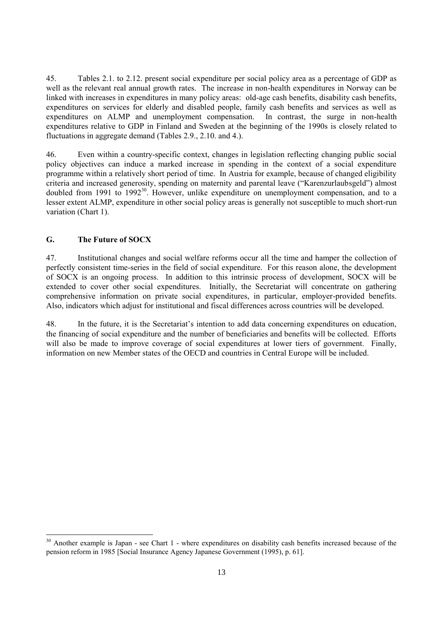45. Tables 2.1. to 2.12. present social expenditure per social policy area as a percentage of GDP as well as the relevant real annual growth rates. The increase in non-health expenditures in Norway can be linked with increases in expenditures in many policy areas: old-age cash benefits, disability cash benefits, expenditures on services for elderly and disabled people, family cash benefits and services as well as expenditures on ALMP and unemployment compensation. In contrast, the surge in non-health expenditures relative to GDP in Finland and Sweden at the beginning of the 1990s is closely related to fluctuations in aggregate demand (Tables 2.9., 2.10. and 4.).

46. Even within a country-specific context, changes in legislation reflecting changing public social policy objectives can induce a marked increase in spending in the context of a social expenditure programme within a relatively short period of time. In Austria for example, because of changed eligibility criteria and increased generosity, spending on maternity and parental leave ("Karenzurlaubsgeld") almost doubled from 1991 to 1992<sup>30</sup>. However, unlike expenditure on unemployment compensation, and to a lesser extent ALMP, expenditure in other social policy areas is generally not susceptible to much short-run variation (Chart 1).

### **G. The Future of SOCX**

l

47. Institutional changes and social welfare reforms occur all the time and hamper the collection of perfectly consistent time-series in the field of social expenditure. For this reason alone, the development of SOCX is an ongoing process. In addition to this intrinsic process of development, SOCX will be extended to cover other social expenditures. Initially, the Secretariat will concentrate on gathering comprehensive information on private social expenditures, in particular, employer-provided benefits. Also, indicators which adjust for institutional and fiscal differences across countries will be developed.

48. In the future, it is the Secretariat's intention to add data concerning expenditures on education, the financing of social expenditure and the number of beneficiaries and benefits will be collected. Efforts will also be made to improve coverage of social expenditures at lower tiers of government. Finally, information on new Member states of the OECD and countries in Central Europe will be included.

<sup>&</sup>lt;sup>30</sup> Another example is Japan - see Chart 1 - where expenditures on disability cash benefits increased because of the pension reform in 1985 [Social Insurance Agency Japanese Government (1995), p. 61].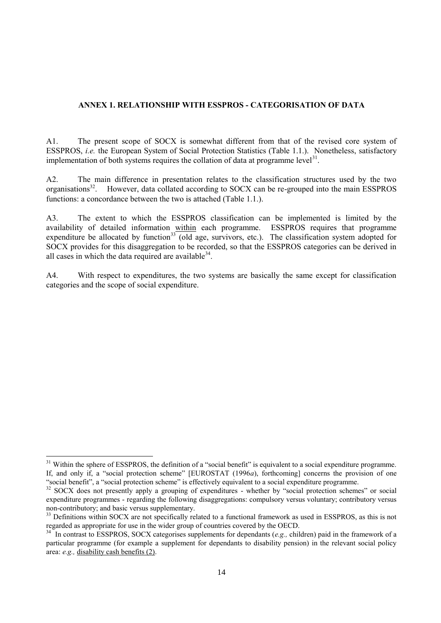### **ANNEX 1. RELATIONSHIP WITH ESSPROS - CATEGORISATION OF DATA**

A1. The present scope of SOCX is somewhat different from that of the revised core system of ESSPROS, *i.e.* the European System of Social Protection Statistics (Table 1.1.). Nonetheless, satisfactory implementation of both systems requires the collation of data at programme level $3<sup>1</sup>$ .

A2. The main difference in presentation relates to the classification structures used by the two organisations<sup>32</sup>. However, data collated according to SOCX can be re-grouped into the main ESSPROS functions: a concordance between the two is attached (Table 1.1.).

A3. The extent to which the ESSPROS classification can be implemented is limited by the availability of detailed information within each programme. ESSPROS requires that programme expenditure be allocated by function<sup>33</sup> (old age, survivors, etc.). The classification system adopted for SOCX provides for this disaggregation to be recorded, so that the ESSPROS categories can be derived in all cases in which the data required are available $34$ .

A4. With respect to expenditures, the two systems are basically the same except for classification categories and the scope of social expenditure.

 $\overline{a}$ 

<sup>&</sup>lt;sup>31</sup> Within the sphere of ESSPROS, the definition of a "social benefit" is equivalent to a social expenditure programme. If, and only if, a "social protection scheme" [EUROSTAT (1996*a*), forthcoming] concerns the provision of one "social benefit", a "social protection scheme" is effectively equivalent to a social expenditure programme.

<sup>&</sup>lt;sup>32</sup> SOCX does not presently apply a grouping of expenditures - whether by "social protection schemes" or social expenditure programmes - regarding the following disaggregations: compulsory versus voluntary; contributory versus non-contributory; and basic versus supplementary.

<sup>&</sup>lt;sup>33</sup> Definitions within SOCX are not specifically related to a functional framework as used in ESSPROS, as this is not regarded as appropriate for use in the wider group of countries covered by the OECD.

<sup>34</sup> In contrast to ESSPROS, SOCX categorises supplements for dependants (*e.g.,* children) paid in the framework of a particular programme (for example a supplement for dependants to disability pension) in the relevant social policy area: *e.g.,* disability cash benefits (2).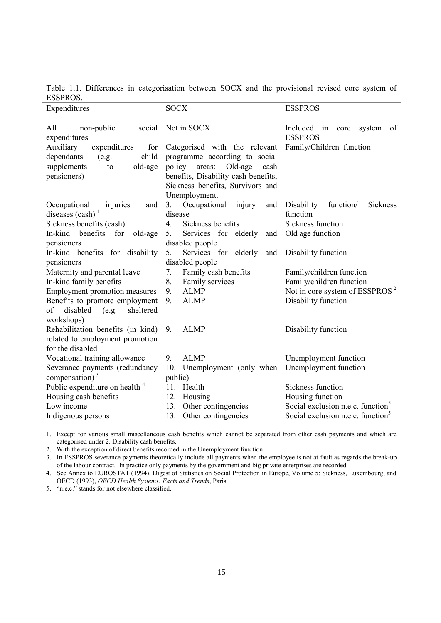Table 1.1. Differences in categorisation between SOCX and the provisional revised core system of ESSPROS.

| Expenditures                                | <b>SOCX</b>                           | <b>ESSPROS</b>                                        |
|---------------------------------------------|---------------------------------------|-------------------------------------------------------|
| All<br>non-public<br>social<br>expenditures | Not in SOCX                           | Included in<br>core<br>system<br>of<br><b>ESSPROS</b> |
| Auxiliary<br>expenditures<br>for            | Categorised with the relevant         | Family/Children function                              |
| child<br>dependants<br>(e.g.                | programme according to social         |                                                       |
| supplements<br>old-age<br>to                | policy<br>Old-age<br>areas:<br>cash   |                                                       |
| pensioners)                                 | benefits, Disability cash benefits,   |                                                       |
|                                             | Sickness benefits, Survivors and      |                                                       |
|                                             | Unemployment.                         |                                                       |
| Occupational<br>and<br>injuries             | 3.<br>Occupational<br>injury<br>and   | Disability<br>function/<br><b>Sickness</b>            |
| diseases $(cash)^1$                         | disease                               | function                                              |
| Sickness benefits (cash)                    | Sickness benefits<br>$\overline{4}$ . | Sickness function                                     |
| In-kind benefits<br>for<br>old-age          | 5.<br>Services for elderly<br>and     | Old age function                                      |
| pensioners                                  | disabled people                       |                                                       |
| In-kind benefits for disability             | Services for<br>elderly<br>5.<br>and  | Disability function                                   |
| pensioners                                  | disabled people                       |                                                       |
| Maternity and parental leave                | Family cash benefits<br>7.            | Family/children function                              |
| In-kind family benefits                     | 8.<br>Family services                 | Family/children function                              |
| <b>Employment promotion measures</b>        | 9.<br><b>ALMP</b>                     | Not in core system of ESSPROS <sup>2</sup>            |
| Benefits to promote employment              | 9.<br><b>ALMP</b>                     | Disability function                                   |
| of<br>disabled<br>(e.g.<br>sheltered        |                                       |                                                       |
| workshops)                                  |                                       |                                                       |
| Rehabilitation benefits (in kind)           | 9.<br><b>ALMP</b>                     | Disability function                                   |
| related to employment promotion             |                                       |                                                       |
| for the disabled                            |                                       |                                                       |
| Vocational training allowance               | 9.<br><b>ALMP</b>                     | Unemployment function                                 |
| Severance payments (redundancy              | 10. Unemployment (only when           | Unemployment function                                 |
| compensation) $3$                           | public)                               |                                                       |
| Public expenditure on health <sup>4</sup>   | 11. Health                            | Sickness function                                     |
| Housing cash benefits                       | 12. Housing                           | Housing function                                      |
| Low income                                  | Other contingencies<br>13.            | Social exclusion n.e.c. function <sup>5</sup>         |
| Indigenous persons                          | 13. Other contingencies               | Social exclusion n.e.c. function <sup>3</sup>         |

1. Except for various small miscellaneous cash benefits which cannot be separated from other cash payments and which are categorised under 2. Disability cash benefits.

2. With the exception of direct benefits recorded in the Unemployment function.

3. In ESSPROS severance payments theoretically include all payments when the employee is not at fault as regards the break-up of the labour contract. In practice only payments by the government and big private enterprises are recorded.

4. See Annex to EUROSTAT (1994), Digest of Statistics on Social Protection in Europe, Volume 5: Sickness, Luxembourg, and OECD (1993), *OECD Health Systems: Facts and Trends*, Paris.

5. "n.e.c." stands for not elsewhere classified.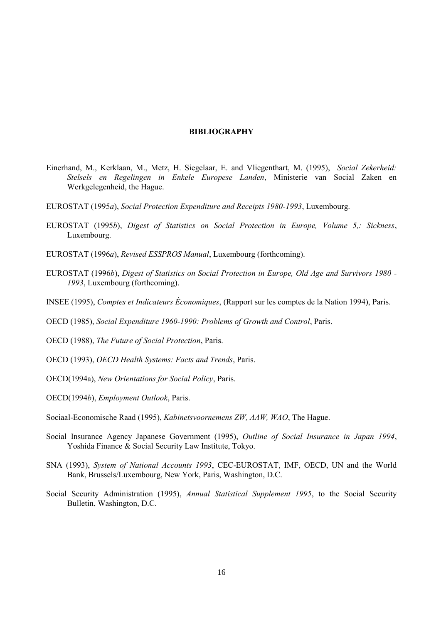#### **BIBLIOGRAPHY**

- Einerhand, M., Kerklaan, M., Metz, H. Siegelaar, E. and Vliegenthart, M. (1995), *Social Zekerheid: Stelsels en Regelingen in Enkele Europese Landen*, Ministerie van Social Zaken en Werkgelegenheid, the Hague.
- EUROSTAT (1995*a*), *Social Protection Expenditure and Receipts 1980-1993*, Luxembourg.
- EUROSTAT (1995*b*), *Digest of Statistics on Social Protection in Europe, Volume 5,: Sickness*, Luxembourg.
- EUROSTAT (1996*a*), *Revised ESSPROS Manual*, Luxembourg (forthcoming).
- EUROSTAT (1996*b*), *Digest of Statistics on Social Protection in Europe, Old Age and Survivors 1980 - 1993*, Luxembourg (forthcoming).
- INSEE (1995), *Comptes et Indicateurs Économiques*, (Rapport sur les comptes de la Nation 1994), Paris.
- OECD (1985), *Social Expenditure 1960-1990: Problems of Growth and Control*, Paris.
- OECD (1988), *The Future of Social Protection*, Paris.
- OECD (1993), *OECD Health Systems: Facts and Trends*, Paris.
- OECD(1994a), *New Orientations for Social Policy*, Paris.
- OECD(1994*b*), *Employment Outlook*, Paris.
- Sociaal-Economische Raad (1995), *Kabinetsvoornemens ZW, AAW, WAO*, The Hague.
- Social Insurance Agency Japanese Government (1995), *Outline of Social Insurance in Japan 1994*, Yoshida Finance & Social Security Law Institute, Tokyo.
- SNA (1993), *System of National Accounts 1993*, CEC-EUROSTAT, IMF, OECD, UN and the World Bank, Brussels/Luxembourg, New York, Paris, Washington, D.C.
- Social Security Administration (1995), *Annual Statistical Supplement 1995*, to the Social Security Bulletin, Washington, D.C.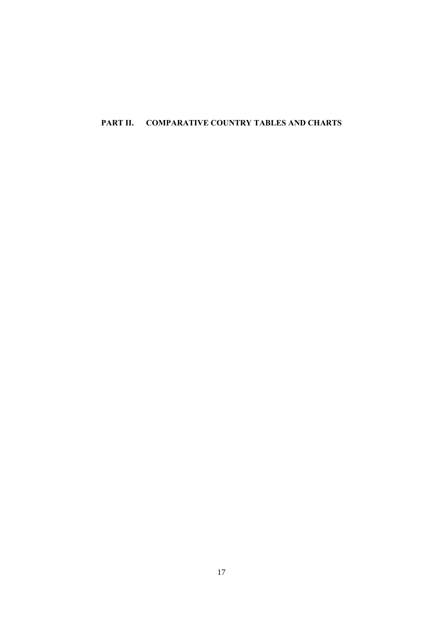## **PART II. COMPARATIVE COUNTRY TABLES AND CHARTS**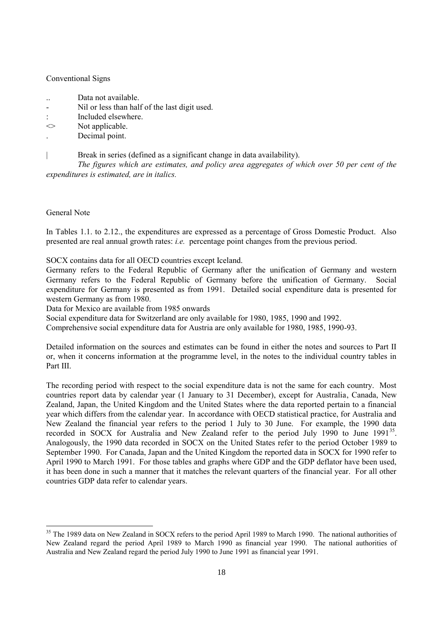### Conventional Signs

- .. Data not available.
- Nil or less than half of the last digit used.
- : Included elsewhere.
- $\leq$  Not applicable.
- . Decimal point.
	- Break in series (defined as a significant change in data availability).

*The figures which are estimates, and policy area aggregates of which over 50 per cent of the expenditures is estimated, are in italics.*

#### General Note

 $\overline{a}$ 

In Tables 1.1. to 2.12., the expenditures are expressed as a percentage of Gross Domestic Product. Also presented are real annual growth rates: *i.e.* percentage point changes from the previous period.

SOCX contains data for all OECD countries except Iceland.

Germany refers to the Federal Republic of Germany after the unification of Germany and western Germany refers to the Federal Republic of Germany before the unification of Germany. Social expenditure for Germany is presented as from 1991. Detailed social expenditure data is presented for western Germany as from 1980.

Data for Mexico are available from 1985 onwards

Social expenditure data for Switzerland are only available for 1980, 1985, 1990 and 1992.

Comprehensive social expenditure data for Austria are only available for 1980, 1985, 1990-93.

Detailed information on the sources and estimates can be found in either the notes and sources to Part II or, when it concerns information at the programme level, in the notes to the individual country tables in Part III.

The recording period with respect to the social expenditure data is not the same for each country. Most countries report data by calendar year (1 January to 31 December), except for Australia, Canada, New Zealand, Japan, the United Kingdom and the United States where the data reported pertain to a financial year which differs from the calendar year. In accordance with OECD statistical practice, for Australia and New Zealand the financial year refers to the period 1 July to 30 June. For example, the 1990 data recorded in SOCX for Australia and New Zealand refer to the period July 1990 to June  $1991^{35}$ . Analogously, the 1990 data recorded in SOCX on the United States refer to the period October 1989 to September 1990. For Canada, Japan and the United Kingdom the reported data in SOCX for 1990 refer to April 1990 to March 1991. For those tables and graphs where GDP and the GDP deflator have been used, it has been done in such a manner that it matches the relevant quarters of the financial year. For all other countries GDP data refer to calendar years.

<sup>&</sup>lt;sup>35</sup> The 1989 data on New Zealand in SOCX refers to the period April 1989 to March 1990. The national authorities of New Zealand regard the period April 1989 to March 1990 as financial year 1990. The national authorities of Australia and New Zealand regard the period July 1990 to June 1991 as financial year 1991.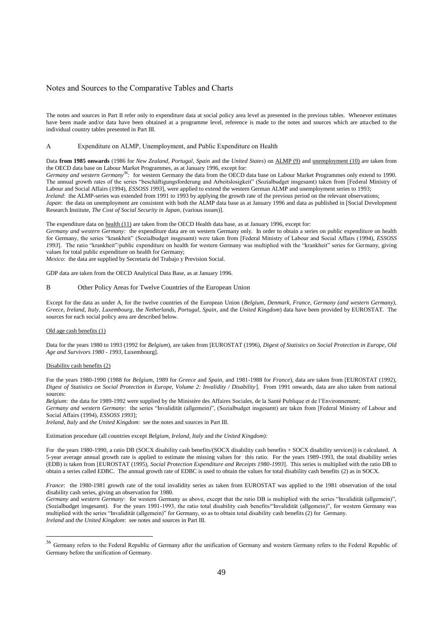#### Notes and Sources to the Comparative Tables and Charts

The notes and sources in Part II refer only to expenditure data at social policy area level as presented in the previous tables. Whenever estimates have been made and/or data have been obtained at a programme level, reference is made to the notes and sources which are attached to the individual country tables presented in Part III.

#### A Expenditure on ALMP, Unemployment, and Public Expenditure on Health

Data **from 1985 onwards** (1986 for *New Zealand, Portugal*, *Spain* and the *United States*) on ALMP (9) and unemployment (10) are taken from the OECD data base on Labour Market Programmes, as at January 1996, except for:

*Germany and western Germany<sup>36</sup>:* for western Germany the data from the OECD data base on Labour Market Programmes only extend to 1990. The annual growth rates of the series "beschäftigungsforderung and Arbeitslosigkeit" (Sozialbudget insgesamt) taken from [Federal Ministry of Labour and Social Affairs (1994), *ESSOSS 1993*], were applied to extend the western German ALMP and unemployment series to 1993; *Ireland*: the ALMP-series was extended from 1991 to 1993 by applying the growth rate of the previous period on the relevant observations;

*Japan*: the data on unemployment are consistent with both the ALMP data base as at January 1996 and data as published in [Social Development Research Institute, *The Cost of Social Security in Japan*, (various issues)].

The expenditure data on health (11) are taken from the OECD Health data base, as at January 1996, except for:

*Germany and western Germany*: the expenditure data are on western Germany only. In order to obtain a series on public expenditure on health for Germany, the series "krankheit" (Sozialbudget insgesamt) were taken from [Federal Ministry of Labour and Social Affairs (1994), *ESSOSS 1993*]. The ratio "krankheit"/public expenditure on health for western Germany was multiplied with the "krankheit" series for Germany, giving values for total public expenditure on health for Germany;

*Mexico*: the data are supplied by Secretaria del Trabajo y Prevision Social.

GDP data are taken from the OECD Analytical Data Base, as at January 1996.

#### B Other Policy Areas for Twelve Countries of the European Union

Except for the data as under A, for the twelve countries of the European Union (*Belgium*, *Denmark, France, Germany (and western Germany), Greece, Ireland, Italy*, *Luxembourg*, the *Netherlands, Portugal, Spain*, and the *United Kingdom*) data have been provided by EUROSTAT. The sources for each social policy area are described below.

#### Old age cash benefits (1)

Data for the years 1980 to 1993 (1992 for *Belgium*), are taken from [EUROSTAT (1996), *Digest of Statistics on Social Protection in Europe, Old Age and Survivors 1980 - 1993*, Luxembourg].

#### Disability cash benefits (2)

l

For the years 1980-1990 (1988 for *Belgium*, 1989 for *Greece* and *Spain*, and 1981-1988 for *France*), data are taken from [EUROSTAT (1992), *Digest of Statistics on Social Protection in Europe, Volume 2: Invalidity / Disability*]. From 1991 onwards, data are also taken from national sources:

*Belgium*: the data for 1989-1992 were supplied by the Ministère des Affaires Sociales, de la Santé Publique et de l'Environnement;

*Germany and western Germany*: the series "Invalidität (allgemein)", (Sozialbudget insgesamt) are taken from [Federal Ministry of Labour and Social Affairs (1994), *ESSOSS 1993*];

*Ireland, Italy* and *the United Kingdom*: see the notes and sources in Part III.

#### Estimation procedure (all countries except *Belgium, Ireland, Italy* and *the United Kingdom):*

For the years 1980-1990, a ratio DB (SOCX disability cash benefits/(SOCX disability cash benefits + SOCX disability services)) is calculated. A 5-year average annual growth rate is applied to estimate the missing values for this ratio. For the years 1989-1993, the total disability series (EDB) is taken from [EUROSTAT (1995), *Social Protection Expenditure and Receipts 1980-1993*]. This series is multiplied with the ratio DB to obtain a series called EDBC. The annual growth rate of EDBC is used to obtain the values for total disability cash benefits (2) as in SOCX.

*France*: the 1980-1981 growth rate of the total invalidity series as taken from EUROSTAT was applied to the 1981 observation of the total disability cash series, giving an observation for 1980.

*Germany* and *western Germany*: for western Germany as above, except that the ratio DB is multiplied with the series "Invalidität (allgemein)", (Sozialbudget insgesamt). For the years 1991-1993, the ratio total disability cash benefits/"Invalidität (allgemein)", for western Germany was multiplied with the series "Invalidität (allgemein)" for Germany, so as to obtain total disability cash benefits (2) for Germany. *Ireland* and *the United Kingdom*: see notes and sources in Part III.

<sup>&</sup>lt;sup>36</sup> Germany refers to the Federal Republic of Germany after the unification of Germany and western Germany refers to the Federal Republic of Germany before the unification of Germany.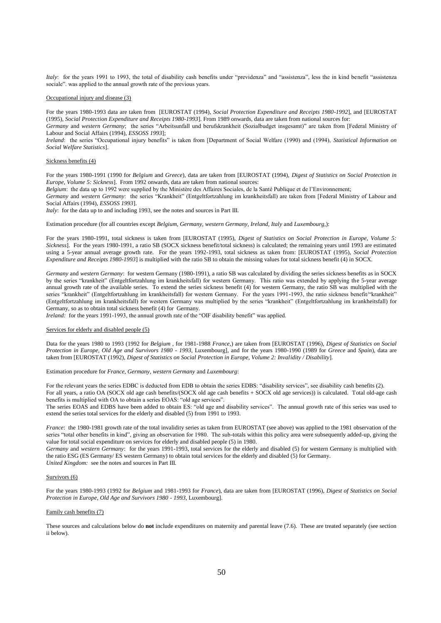*Italy*: for the years 1991 to 1993, the total of disability cash benefits under "previdenza" and "assistenza", less the in kind benefit "assistenza sociale". was applied to the annual growth rate of the previous years.

#### Occupational injury and disease (3)

For the years 1980-1993 data are taken from [EUROSTAT (1994), *Social Protection Expenditure and Receipts 1980-1992*], and [EUROSTAT (1995), *Social Protection Expenditure and Receipts 1980-1993*]. From 1989 onwards, data are taken from national sources for:

*Germany* and *western Germany*; the series "Arbeitsunfall und berufskrankheit (Sozialbudget insgesamt)" are taken from [Federal Ministry of Labour and Social Affairs (1994), *ESSOSS 1993*];

*Ireland*: the series "Occupational injury benefits" is taken from [Department of Social Welfare (1990) and (1994), *Statistical Information on Social Welfare Statistics*].

#### Sickness benefits (4)

For the years 1980-1991 (1990 for *Belgium* and *Greece*), data are taken from [EUROSTAT (1994), *Digest of Statistics on Social Protection in Europe, Volume 5: Sickness*]. From 1992 onwards, data are taken from national sources:

*Belgium*: the data up to 1992 were supplied by the Ministère des Affaires Sociales, de la Santé Publique et de l'Environnement;

*Germany* and *western Germany*: the series "Krankheit" (Entgeltfortzahlung im krankheitsfall) are taken from [Federal Ministry of Labour and Social Affairs (1994), *ESSOSS 1993*].

*Italy*: for the data up to and including 1993, see the notes and sources in Part III.

Estimation procedure (for all countries except *Belgium, Germany, western Germany, Ireland, Italy* and *Luxembourg,*):

For the years 1980-1991, total sickness is taken from [EUROSTAT (1995), *Digest of Statistics on Social Protection in Europe, Volume 5: Sickness*]. For the years 1980-1991, a ratio SB (SOCX sickness benefit/total sickness) is calculated; the remaining years until 1993 are estimated using a 5-year annual average growth rate. For the years 1992-1993, total sickness as taken from: [EUROSTAT (1995), *Social Protection Expenditure and Receipts 1980-1993*] is multiplied with the ratio SB to obtain the missing values for total sickness benefit (4) in SOCX.

*Germany* and *western Germany*: for western Germany (1980-1991), a ratio SB was calculated by dividing the series sickness benefits as in SOCX by the series "krankheit" (Entgeltfortzahlung im krankheitsfall) for western Germany. This ratio was extended by applying the 5-year average annual growth rate of the available series. To extend the series sickness benefit (4) for western Germany, the ratio SB was multiplied with the series "krankheit" (Entgeltfortzahlung im krankheitsfall) for western Germany. For the years 1991-1993, the ratio sickness benefit/"krankheit" (Entgeltfortzahlung im krankheitsfall) for western Germany was multiplied by the series "krankheit" (Entgeltfortzahlung im krankheitsfall) for Germany, so as to obtain total sickness benefit (4) for Germany.

*Ireland:* for the years 1991-1993, the annual growth rate of the "OIF disability benefit" was applied.

#### Services for elderly and disabled people  $(5)$

Data for the years 1980 to 1993 (1992 for *Belgium* , for 1981-1988 *France*,) are taken from [EUROSTAT (1996), *Digest of Statistics on Social Protection in Europe, Old Age and Survivors 1980 - 1993*, Luxembourg], and for the years 1980-1990 (1989 for *Greece* and *Spain*), data are taken from [EUROSTAT (1992), *Digest of Statistics on Social Protection in Europe, Volume 2: Invalidity / Disability*].

Estimation procedure for *France, Germany, western Germany* and *Luxembourg*:

For the relevant years the series EDBC is deducted from EDB to obtain the series EDBS: "disability services", see disability cash benefits (2). For all years, a ratio OA (SOCX old age cash benefits/(SOCX old age cash benefits + SOCX old age services)) is calculated. Total old-age cash benefits is multiplied with OA to obtain a series EOAS: "old age services".

The series EOAS and EDBS have been added to obtain ES: "old age and disability services". The annual growth rate of this series was used to extend the series total services for the elderly and disabled (5) from 1991 to 1993.

*France*: the 1980-1981 growth rate of the total invalidity series as taken from EUROSTAT (see above) was applied to the 1981 observation of the series "total other benefits in kind", giving an observation for 1980. The sub-totals within this policy area were subsequently added-up, giving the value for total social expenditure on services for elderly and disabled people (5) in 1980.

*Germany* and *western Germany*: for the years 1991-1993, total services for the elderly and disabled (5) for western Germany is multiplied with the ratio ESG (ES Germany/ ES western Germany) to obtain total services for the elderly and disabled (5) for Germany. *United Kingdom:* see the notes and sources in Part III.

#### Survivors (6)

For the years 1980-1993 (1992 for *Belgium* and 1981-1993 for *France*), data are taken from [EUROSTAT (1996), *Digest of Statistics on Social Protection in Europe, Old Age and Survivors 1980 - 1993*, Luxembourg].

#### Family cash benefits (7)

These sources and calculations below do **not** include expenditures on maternity and parental leave (7.6). These are treated separately (see section ii below).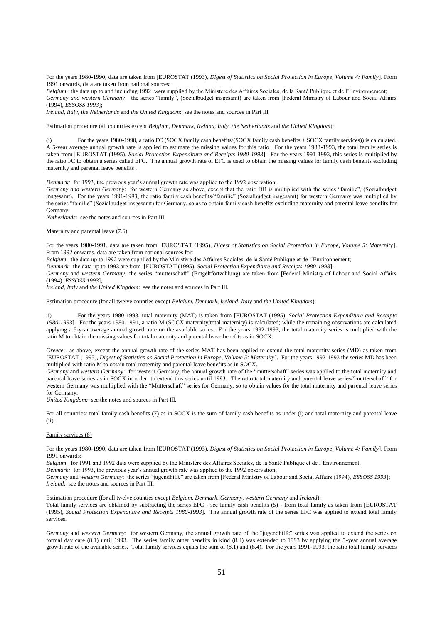For the years 1980-1990, data are taken from [EUROSTAT (1993), *Digest of Statistics on Social Protection in Europe, Volume 4: Family*]. From 1991 onwards, data are taken from national sources:

*Belgium*: the data up to and including 1992 were supplied by the Ministère des Affaires Sociales, de la Santé Publique et de l'Environnement; *Germany and western Germany*: the series "family", (Sozialbudget insgesamt) are taken from [Federal Ministry of Labour and Social Affairs (1994), *ESSOSS 1993*];

*Ireland, Italy*, *the Netherlands* and *the United Kingdom*: see the notes and sources in Part III.

Estimation procedure (all countries except *Belgium*, *Denmark*, *Ireland*, *Italy*, *the Netherlands* and *the United Kingdom*):

(i) For the years 1980-1990, a ratio FC (SOCX family cash benefits/(SOCX family cash benefits + SOCX family services)) is calculated. A 5-year average annual growth rate is applied to estimate the missing values for this ratio. For the years 1988-1993, the total family series is taken from [EUROSTAT (1995), *Social Protection Expenditure and Receipts 1980-1993*]. For the years 1991-1993, this series is multiplied by the ratio FC to obtain a series called EFC. The annual growth rate of EFC is used to obtain the missing values for family cash benefits excluding maternity and parental leave benefits .

*Denmark:* for 1993, the previous year's annual growth rate was applied to the 1992 observation.

*Germany and western Germany*: for western Germany as above, except that the ratio DB is multiplied with the series "familie", (Sozialbudget insgesamt). For the years 1991-1993, the ratio family cash benefits/"familie" (Sozialbudget insgesamt) for western Germany was multiplied by the series "familie" (Sozialbudget insgesamt) for Germany, so as to obtain family cash benefits excluding maternity and parental leave benefits for Germany.

*Netherlands*: see the notes and sources in Part III.

Maternity and parental leave (7.6)

For the years 1980-1991, data are taken from [EUROSTAT (1995), *Digest of Statistics on Social Protection in Europe, Volume 5: Maternity*]. From 1992 onwards, data are taken from national sources for:

*Belgium*: the data up to 1992 were supplied by the Ministère des Affaires Sociales, de la Santé Publique et de l'Environnement;

*Denmark*: the data up to 1993 are from [EUROSTAT (1995), *Social Protection Expenditure and Receipts 1980-1993*].

*Germany* and *western Germany:* the series "mutterschaft" (Entgeltfortzahlung) are taken from [Federal Ministry of Labour and Social Affairs (1994), *ESSOSS 1993*];

*Ireland*, *Italy* and *the United Kingdom*: see the notes and sources in Part III.

Estimation procedure (for all twelve counties except *Belgium*, *Denmark*, *Ireland*, *Italy* and *the United Kingdom*):

ii) For the years 1980-1993, total maternity (MAT) is taken from [EUROSTAT (1995), *Social Protection Expenditure and Receipts 1980-1993*]. For the years 1980-1991, a ratio M (SOCX maternity/total maternity) is calculated; while the remaining observations are calculated applying a 5-year average annual growth rate on the available series. For the years 1992-1993, the total maternity series is multiplied with the ratio M to obtain the missing values for total maternity and parental leave benefits as in SOCX.

*Greece*: as above, except the annual growth rate of the series MAT has been applied to extend the total maternity series (MD) as taken from [EUROSTAT (1995), *Digest of Statistics on Social Protection in Europe, Volume 5: Maternity*]. For the years 1992-1993 the series MD has been multiplied with ratio M to obtain total maternity and parental leave benefits as in SOCX.

*Germany* and *western Germany*: for western Germany, the annual growth rate of the "mutterschaft" series was applied to the total maternity and parental leave series as in SOCX in order to extend this series until 1993. The ratio total maternity and parental leave series/"mutterschaft" for western Germany was multiplied with the "Mutterschaft" series for Germany, so to obtain values for the total maternity and parental leave series for Germany.

*United Kingdom:* see the notes and sources in Part III.

For all countries: total family cash benefits (7) as in SOCX is the sum of family cash benefits as under (i) and total maternity and parental leave (ii).

#### Family services (8)

For the years 1980-1990, data are taken from [EUROSTAT (1993), *Digest of Statistics on Social Protection in Europe, Volume 4: Family*]. From 1991 onwards:

*Belgium*: for 1991 and 1992 data were supplied by the Ministère des Affaires Sociales, de la Santé Publique et de l'Environnement;

*Denmark:* for 1993, the previous year's annual growth rate was applied to the 1992 observation;

*Germany* and *western Germany*: the series "jugendhilfe" are taken from [Federal Ministry of Labour and Social Affairs (1994), *ESSOSS 1993*]; *Ireland*: see the notes and sources in Part III.

Estimation procedure (for all twelve counties except *Belgium, Denmark, Germany, western Germany* and *Ireland*):

Total family services are obtained by subtracting the series EFC - see family cash benefits (5) - from total family as taken from [EUROSTAT (1995), *Social Protection Expenditure and Receipts 1980-1993*]. The annual growth rate of the series EFC was applied to extend total family services.

*Germany* and *western Germany*: for western Germany, the annual growth rate of the "jugendhilfe" series was applied to extend the series on formal day care (8.1) until 1993. The series family other benefits in kind (8.4) was extended to 1993 by applying the 5-year annual average growth rate of the available series. Total family services equals the sum of (8.1) and (8.4). For the years 1991-1993, the ratio total family services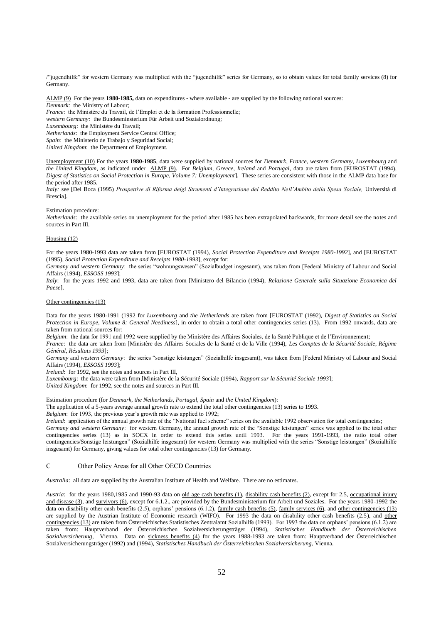/"jugendhilfe" for western Germany was multiplied with the "jugendhilfe" series for Germany, so to obtain values for total family services (8) for Germany.

ALMP (9) For the years **1980-1985,** data on expenditures - where available - are supplied by the following national sources: *Denmark:* the Ministry of Labour; *France*: the Ministère du Travail, de l'Emploi et de la formation Professionnelle; *western Germany:* the Bundesminsterium Für Arbeit und Sozialordnung; *Luxembourg*: the Ministère du Travail;

*Netherlands*: the Employment Service Central Office;

*Spain*: the Ministerio de Trabajo y Seguridad Social;

*United Kingdom*: the Department of Employment.

Unemployment (10) For the years **1980-1985**, data were supplied by national sources for *Denmark*, *France, western Germany*, *Luxembourg* and *the United Kingdom*, as indicated under ALMP (9). For *Belgium*, *Greece*, *Ireland* and *Portugal,* data are taken from [EUROSTAT (1994), *Digest of Statistics on Social Protection in Europe, Volume 7: Unemployment*]. These series are consistent with those in the ALMP data base for the period after 1985.

*Italy:* see [Del Boca (1995) *Prospettive di Riforma delgi Strumenti d'Integrazione del Reddito Nell'Ambito della Spesa Sociale,* Università di Brescia].

Estimation procedure:

*Netherlands*: the available series on unemployment for the period after 1985 has been extrapolated backwards, for more detail see the notes and sources in Part III.

#### Housing (12)

For the years 1980-1993 data are taken from [EUROSTAT (1994), *Social Protection Expenditure and Receipts 1980-1992*], and [EUROSTAT (1995), *Social Protection Expenditure and Receipts 1980-1993*], except for:

*Germany and western Germany*: the series "wohnungswesen" (Sozialbudget insgesamt), was taken from [Federal Ministry of Labour and Social Affairs (1994), *ESSOSS 1993*];

*Italy*: for the years 1992 and 1993, data are taken from [Ministero del Bilancio (1994), *Relazione Generale sulla Situazione Economica del Paese*].

#### Other contingencies (13)

Data for the years 1980-1991 (1992 for *Luxembourg* and *the Netherlands* are taken from [EUROSTAT (1992), *Digest of Statistics on Social Protection in Europe, Volume 8: General Neediness*], in order to obtain a total other contingencies series (13). From 1992 onwards, data are taken from national sources for:

*Belgium*: the data for 1991 and 1992 were supplied by the Ministère des Affaires Sociales, de la Santé Publique et de l'Environnement;

*France*: the data are taken from [Ministère des Affaires Sociales de la Santé et de la Ville (1994), *Les Comptes de la Sécurité Sociale, Régime Général, Résultats 1993*];

*Germany* and *western Germany*: the series "sonstige leistungen" (Sozialhilfe insgesamt), was taken from [Federal Ministry of Labour and Social Affairs (1994), *ESSOSS 1993*];

*Ireland*: for 1992, see the notes and sources in Part III,

*Luxembourg*: the data were taken from [Ministère de la Sécurité Sociale (1994), *Rapport sur la Sécurité Sociale 1993*]; *United Kingdom*: for 1992, see the notes and sources in Part III.

Estimation procedure (for *Denmark*, *the Netherlands*, *Portugal*, *Spain* and *the United Kingdom*):

The application of a 5-years average annual growth rate to extend the total other contingencies (13) series to 1993.

*Belgium*: for 1993, the previous year's growth rate was applied to 1992;

*Ireland*: application of the annual growth rate of the "National fuel scheme" series on the available 1992 observation for total contingencies;

*Germany and western Germany*: for western Germany, the annual growth rate of the "Sonstige leistungen" series was applied to the total other contingencies series (13) as in SOCX in order to extend this series until 1993. For the years 1991-1993, the ratio total other contingencies/Sonstige leistungen" (Sozialhilfe insgesamt) for western Germany was multiplied with the series "Sonstige leistungen" (Sozialhilfe insgesamt) for Germany, giving values for total other contingencies (13) for Germany.

#### C Other Policy Areas for all Other OECD Countries

*Australia*: all data are supplied by the Australian Institute of Health and Welfare. There are no estimates.

*Austria*: for the years 1980,1985 and 1990-93 data on old age cash benefits (1), disability cash benefits (2), except for 2.5, occupational injury and disease (3), and survivors (6), except for 6.1.2., are provided by the Bundesministerium für Arbeit und Soziales. For the years 1980-1992 the data on disability other cash benefits (2.5), orphans' pensions (6.1.2), family cash benefits (5), family services (6), and other contingencies (13) are supplied by the Austrian Institute of Economic research (WIFO). For 1993 the data on disability other cash benefits (2.5), and other contingencies (13) are taken from Österreichisches Statistisches Zentralamt Sozialhilfe (1993). For 1993 the data on orphans' pensions (6.1.2) are taken from: Hauptverband der Österreichischen Sozialversicherungsträger (1994), *Statistisches Handbuch der Österreichischen Sozialversicherung*, Vienna. Data on sickness benefits (4) for the years 1988-1993 are taken from: Hauptverband der Österreichischen Sozialversicherungsträger (1992) and (1994), *Statistisches Handbuch der Österreichischen Sozialversicherung*, Vienna.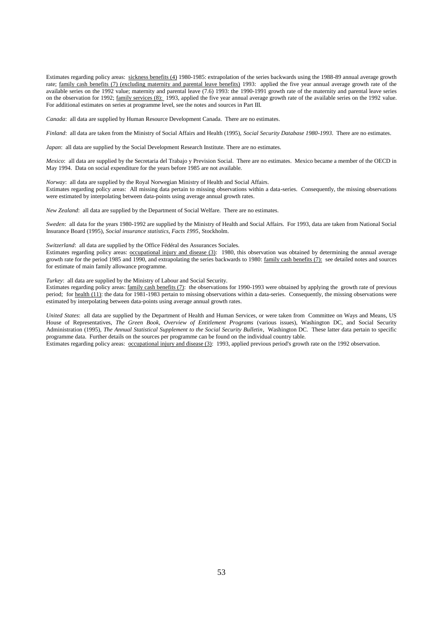Estimates regarding policy areas: sickness benefits (4) 1980-1985: extrapolation of the series backwards using the 1988-89 annual average growth rate; family cash benefits (7) (excluding maternity and parental leave benefits) 1993: applied the five year annual average growth rate of the available series on the 1992 value; maternity and parental leave (7.6) 1993: the 1990-1991 growth rate of the maternity and parental leave series on the observation for 1992; family services (8): 1993, applied the five year annual average growth rate of the available series on the 1992 value. For additional estimates on series at programme level, see the notes and sources in Part III.

*Canada*: all data are supplied by Human Resource Development Canada. There are no estimates.

*Finland*: all data are taken from the Ministry of Social Affairs and Health (1995), *Social Security Database 1980-1993*. There are no estimates.

*Japan*: all data are supplied by the Social Development Research Institute. There are no estimates.

*Mexico*: all data are supplied by the Secretaria del Trabajo y Prevision Social. There are no estimates. Mexico became a member of the OECD in May 1994. Data on social expenditure for the years before 1985 are not available.

*Norway*: all data are supplied by the Royal Norwegian Ministry of Health and Social Affairs. Estimates regarding policy areas: All missing data pertain to missing observations within a data-series. Consequently, the missing observations were estimated by interpolating between data-points using average annual growth rates.

*New Zealand*: all data are supplied by the Department of Social Welfare. There are no estimates.

*Sweden*: all data for the years 1980-1992 are supplied by the Ministry of Health and Social Affairs. For 1993, data are taken from National Social Insurance Board (1995), *Social insurance statistics, Facts 1995*, Stockholm.

*Switzerland*: all data are supplied by the Office Fédéral des Assurances Sociales.

Estimates regarding policy areas: occupational injury and disease (3): 1980, this observation was obtained by determining the annual average growth rate for the period 1985 and 1990, and extrapolating the series backwards to 1980: family cash benefits (7): see detailed notes and sources for estimate of main family allowance programme.

*Turkey*: all data are supplied by the Ministry of Labour and Social Security.

Estimates regarding policy areas: family cash benefits (7): the observations for 1990-1993 were obtained by applying the growth rate of previous period; for health (11): the data for 1981-1983 pertain to missing observations within a data-series. Consequently, the missing observations were estimated by interpolating between data-points using average annual growth rates.

*United States*: all data are supplied by the Department of Health and Human Services, or were taken from Committee on Ways and Means, US House of Representatives, *The Green Book, Overview of Entitlement Programs* (various issues), Washington DC, and Social Security Administration (1995), *The Annual Statistical Supplement to the Social Security Bulletin*, Washington DC. These latter data pertain to specific programme data. Further details on the sources per programme can be found on the individual country table.

Estimates regarding policy areas: occupational injury and disease (3): 1993, applied previous period's growth rate on the 1992 observation.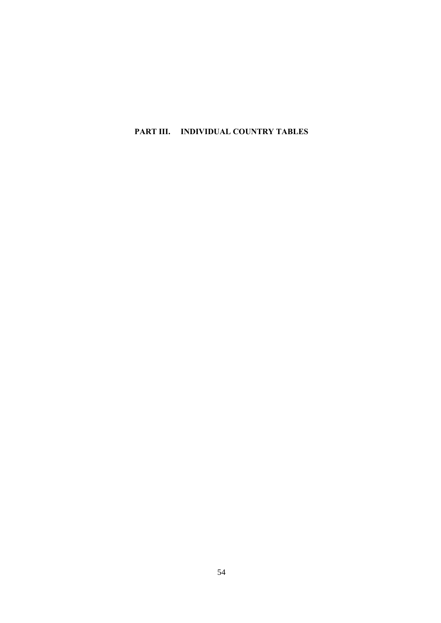**PART III. INDIVIDUAL COUNTRY TABLES**